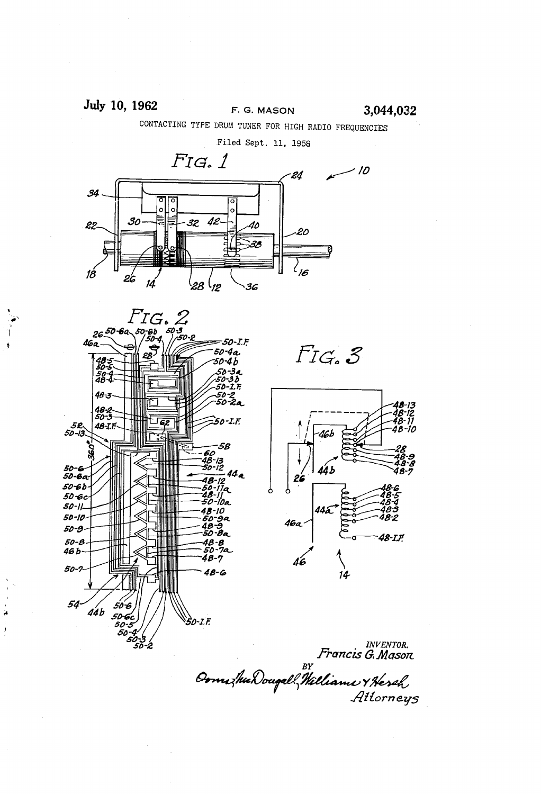### July 10, 1962 **F. G. MASON** 3,044,032

CONTACTING TYPE DRUM TUNER FOR HIGH RADIO FREQUENCIES





 $F_{IG}$ , 3



nventor.<br>Francis G. Mason

Ałłorney5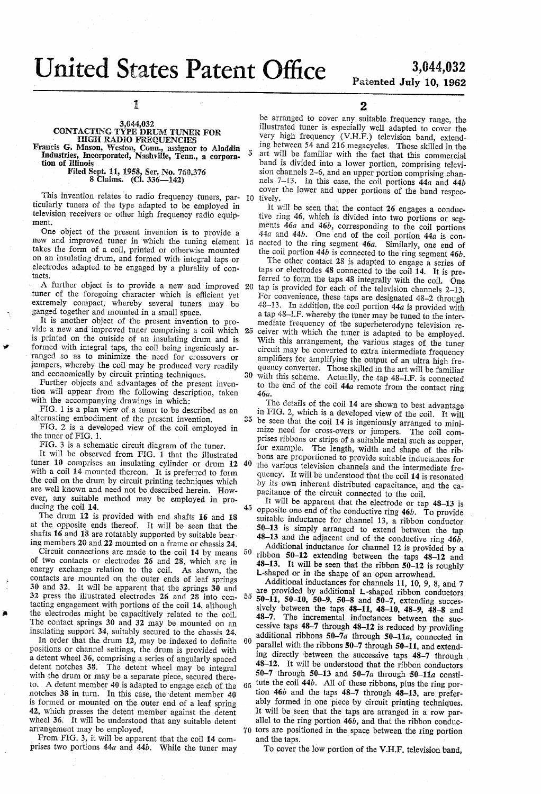# United States Patent Office 3,044,032

 $\kappa$ 

## 3,044,032<br>Patented July 10, 1962

1

#### 3,044,032, CONTACTING TYPE DRUM TUNER FOR HIGH RADIO FREQUENCIES Francis G. Mason, Weston, Conn, assignor to Aladdin

Industries, Incorporated, Nashville, Tenn., a corpora-<br>tion of Illinois

Filed Sept. 11, 1958, Ser. No. 758,376 8 Claims. (Cl. 336—142)

I'ms invention relates to radio frequency tuners, par- 10 ticularly tuners of the type adapted to be employed in television receivers or other high frequency radio equipment.

One object of the present invention is to provide a new and improved tuner in which the tuning element 15 takes the form of a coil, printed or otherwise mounted' on an insulating drum, and formed with integral taps or electrodes adapted to be engaged by a plurality of contacts.

A further object is to provide a new and improved tuner of the foregoing character which is efficient yet extremely compact, whereby several tuners may be ganged together and mounted in a small space.

It is another object of the present invention to pro vide a new and improved tuner comprising a coil which 25 is printed on the outside of an insulating drum and is formed with integral taps, the coil being ingeniously arranged so as to minimize the need for crossovers or jumpers, whereby the coil may be produced very readily and economically by circuit printing techniques. 30

Further objects and advantages of the present inven tion will appear from the following description, taken with the accompanying drawings in which:

FIG. 1 is a plan view of a tuner to be described as an alternating embodiment of the present invention.

FIG. 2 is a developed view of the coil employed in the tuner of FIG. 1.

FIG. 3 is a schematic circuit diagram of the tuner.

It will be observed from FIG. 1 that the illustrated tuner 10 comprises an insulating cylinder or drum 12 with a coil 14 mounted thereon. It is preferred to form the coil on the drum by circuit printing techniques which are well known and need not be described herein. How ever, any suitable method may be employed in pro ducing the coil 14. 45

The drum 12 is provided with end shafts 16 and 18 at the opposite ends thereof. It will be seen that the shafts 16 and 18 are rotatably supported by suitable bear ing members 20 and 22 mounted on a frame or chassis 24.

Circuit connections are made to the coil 14 by means of two contacts or electrodes 26 and 28, which are in energy exchange relation to the coil. As shown, the contacts are mounted on the outer ends of leaf springs 30 and 32. It will be apparent that the springs 30 and 32 press the illustrated electrodes 26 and 28 into con tacting engagement with portions of the coil 14, although the electrodes might be capacitively related to the coil. The contact springs 30 and 32 may be mounted on an insulating support 34, suitably secured to the chassis 24. 50

In order that the drum 12, may be indexed to definite positions or channel settings, the drum is provided with a detent wheel 36, comprising a series of angularly spaced detent notches 38. The detent wheel may be integral with the drum or may be a separate piece, secured there to. A detent member 40 is adapted to engage each of the notches 38 in turn. In this case, the-detent member 40 is formed or mounted on the outer end of a leaf spring 42, which presses the detent member against the detent wheel 36. It will be understood that any suitable detent arrangement may be employed.

From FIG. 3, it will be apparent that the coil 14 comprises two portions  $44a$  and  $44b$ . While the tuner may 2

be arranged to cover any suitable frequency range, the illustrated tuner is especially well adapted to cover the very high frequency (V.H.F.) television band, extend ing between 54 and 216 megacycles. Those skilled in the art will be familiar with the fact that this commercial band is divided into a lower portion, comprising televi sion channels 2-6, and an upper portion comprising channels 7-13. In this case, the coil portions  $44a$  and  $44b$ cover the lower and upper portions of the band respec tively.

It will be seen that the contact 26 engages a conductive ring 46, which is divided into two portions or seg ments 46a and 46b, corresponding to the coil portions  $44a$  and  $44b$ . One end of the coil portion  $44a$  is connected to the ring segment 46a. Similarly, one end of the coil portion  $44b$  is connected to the ring segment  $46b$ .

20 The other contact 28 is adapted to engage a series of taps or electrodes  $48$  connected to the coil  $14$ . It is preferred to form the taps 48 integrally with the coil. One tap is provided for each of the television channels 2-13. For convenience, these taps are designated  $48-2$  through  $48-13$ . In addition, the coil portion  $44a$  is provided with a tap 48-I.F. whereby the tuner may be tuned to the intermediate frequency of the superheterodyne television receiver with which the tuner is adapted to be employed. With this arrangement, the various stages of the tuner circuit may be converted to extra intermediate frequency amplifiers for amplifying the output of an ultra high frequency converter. Those skilled in the art will be familiar with this scheme. Actually, the tap 48-I.F. is connected to the end of the coil 44a remote from the contact ring 46a.

<sup>35</sup> be seen that the coil 14 is ingeniously arranged to mini-40 The details of the coil 14 are shown to best advantage in FIG. 2, which is a developed view of the coil. It will mize need for cross-overs or jumpers. The coil com prises ribbons or strips of a suitable metal such as copper, for example. The length, width and shape of the rib bons are proportioned to provide suitable inductances for the various television channels and the intermediate fre quency. It will be understood that the coil 14 is resonated<br>by its own inherent distributed capacitance, and the capacitance of the circuit connected to the coil.

It will be apparent that the electrode or tap 48-13 is opposite one end of the conductive ring 46b. To provide suitable inductance for channel 13, a ribbon conductor  $50-13$  is simply arranged to extend between the tap 48-13 and the adjacent end of the conductive ring 46b.

Additional inductance for channel 12 is provided by a ribbon 50-12 extending between the taps 48-12 and 48-13. It will be seen that the ribbon 50-12 is roughly L-shaped or in the shape of an open arrowhead.<br>Additional inductances for channels 11, 10, 9, 8, and 7

are provided by additional L-shaped ribbon conductors 55 50–11, 50–10, 50–9, 50–8 and 50–7, extending successively between the taps  $48-11$ ,  $48-10$ ,  $48-9$ ,  $48-8$  and 48-7. The incremental inductances between the suc cessive taps 48-7 through 48-12 is reduced by providing additional ribbons  $50-7a$  through  $50-11a$ , connected in parallel with the ribbons  $50-7$  through  $50-11$ , and extending directly between the successive taps 48-7 through 48-12. It will be understood that the ribbon conductors 50-7 through 50-13 and 50-7a through  $50-11a$  constitute the coil 44b. All of these ribbons, plus the ring por 65

70 tors are positioned in the space between the ring portion tion 46b and the taps 48-7 through 48-13, are prefer ably formed in one piece by circuit printing techniques. It will be seen that the taps are arranged in a row par allel to the ring portion 46b, and that the ribbon conduc and the taps.

To cover the low portion of the V.H.F. television band,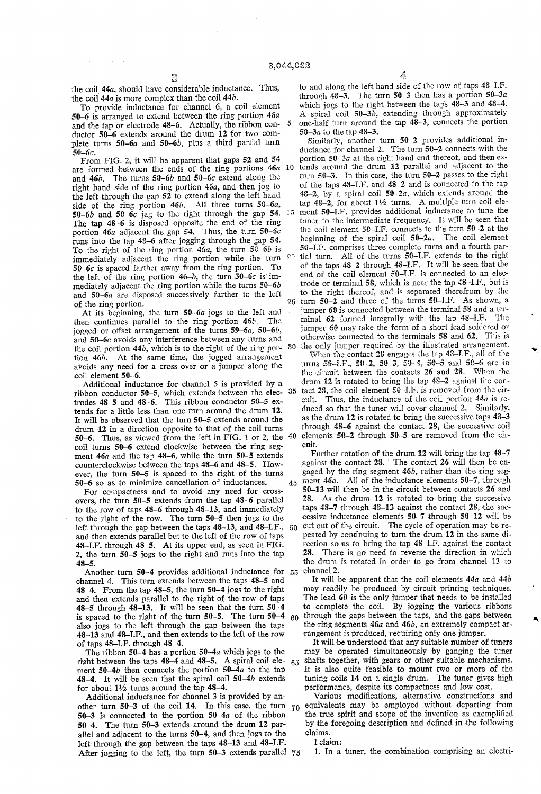5

the coil 44a, should have considerable inductance. Thus, the coil 44a is more complex than the coil 44b.

To provide inductance for channel 6, a coil element 50-6 is arranged to extend between the ring portion 46a and the tap or electrode 48-6. Actually, the ribbon con ductor 50-6 extends around the drum 12 for two com plete turns  $50-6a$  and  $50-6b$ , plus a third partial turn 50-60.

From FIG. 2, it will be apparent that gaps 52 and 54 are formed between the ends of the ring portions  $46a$ and 46b. The turns 50–6b and 50–6c extend along the right hand side of the ring portion 46a, and then jog to the left through the gap 52 to extend along the left hand side of the ring portion  $46b$ . All three turns  $50-6a$ , 50-6b and 50-60 jag to the right through the gap 54. The tap 48-6 is disposed opposite the end of the ring portion  $46a$  adjacent the gap 54. Thus, the turn  $50-6c$  runs into the tap  $48-6$  after jogging through the gap 54. To the right of the ring portion  $46a$ , the turn  $50-6b$  is immediately adjacent the ring portion while the turn 50-60 is spaced farther away from the ring portion. To the left of the ring portion  $46-b$ , the turn  $50-6c$  is immediately adjacent the ring portion While the turns 50-6b and 50-6a are disposed successively farther to the left of the ring portion. 10 15

At its beginning, the turn  $50-6a$  jogs to the left and  $\epsilon$  continues parallel to the ring portion  $46b$ . The then continues parallel to the ring portion  $46b$ . jogged or offset arrangement of the turns  $59-6a$ ,  $50-6b$ , and  $50-6c$  avoids any interference between any turns and the coil portion 44b, which is to the right of the ring por tion  $46b$ . At the same time, the jogged arrangement avoids any need for a cross over or a jumper along the coil element 50-6.

Additional inductance for channel 5 is provided by a ribbon conductor 50-5, which extends 'between the elec trodes 48-5 and 48-6. This ribbon conductor 50-5 ex tends for a little less than one turn around the drum 12. It Will be observed that the turn 50-5 extends around the drum 12 in a direction opposite to that of the coil turns 50–6. Thus, as viewed from the left in FIG. 1 or 2, the  $40$ coil turns 50-6 extend clockwise between the ring seg ment  $46a$  and the tap  $48-6$ , while the turn 50-5 extends counterclockwise between the taps 48-6 and 48-5. How ever, the turn 50-5 is spaced to the right of the turns 50-6 so as to minimize cancellation of inductances. 45

For compactness and to avoid any need for cross overs, the turn 50-5 extends from the tap 48-6 parallel to the row of taps 48-6 through 48-13, and immediately to the right of the row. The turn 50-5 then jogs to the left through the gap between the taps 48-13, and 48-I.F., and then extends parallel but to the left of the row of taps 48-LF. through 48-5. At its upper end, as seen in FIG. 2, the turn 50-5 jogs to the right and runs into the tap 48-5. 50

Another turn 50-4 provides additional inductance for 55 channel 4. This turn extends between the taps 48-5 and 48-4. From the tap 48-5, the turn 50-4 jogs to the right and then extends parallel to the right of the row of taps 48-5 through 48-13. It will be seen that the turn 50-4 is spaced to the right of the turn  $50-5$ . The turn  $50-4$  60 also jogs to the left through the gap between the taps 48-13 and 48-I.F., and then extends to the left of the row of taps 48-I.F. through 48-4.

The ribbon  $50-4$  has a portion  $50-4a$  which jogs to the right between the taps 48-4 and 48-5. A spiral coil ele ment 50-4 $b$  then connects the portion 50-4 $a$  to the tap 48-4. It will be seen that the spiral coil 50-4b extends for about  $1\frac{1}{2}$  turns around the tap 48-4. 65

Additional inductance for channel 3 is provided by an other turn 50–3 of the coil 14. In this case, the turn  $70$ 50-3 is connected to the portion 50-4a of the ribbon 50-4. The turn 50-3 extends around the drum 12 par allel and adjacent to the turns 50-4, and then jogs to the left through the gap between the taps 48-13 and 48—I.F. After jogging to the left, the turn 50-3 extends parallel 75 A

to and along the left hand side of the row of taps 48-I.F. through  $48-3$ . The turn  $50-3$  then has a portion  $50-3a$ which jogs to the right between the taps 48-3 and 48-4. A spiral coil 50-3b, extending through approximately one-half turn around the tap 48-3, connects the portion

50-3a to the tap 48-3. Similarly, another turn 50-2 provides additional in ductance for channel 2. The turn  $50-2$  connects with the portion  $50-3a$  at the right hand end thereof, and then exfends around the drum 12 parallel and adjacent to the turn 50-3. In this case, the turn 50-2 passes to the right of the taps 48-LF. and 48-2 and is connected to the tap 48-2, by a spiral coil  $50-2a$ , which extends around the tap 48-2, for about  $1\frac{1}{2}$  turns. A multiple turn coil element 50-I.F. provides additional inductance to tune the tuner to the intermediate frequency. It will be seen that the coil element  $50$ -I.F. connects to the turn  $50$ -2 at the beginning of the spiral coil  $50$ -2*a*. The coil element beginning of the spiral coil  $50-2a$ . 50-I.F. comprises three complete turns and a fourth partial turn. All of the turns 50-I.F. extends to the right of the taps 48-2 through 48-I.F. It will be seen that the end of the coil element 50-I.F. is connected to an elec

trode or terminal 58, which is near the tap 48-I.F., but is to the right thereof, and is separated therefrom by the turn 50-2 and three of the turns 50-I.F. As shown, a jumper 60 is connected between the terminal 58 and a ter minal 62 formed integrally with the tap 48-l.F. The jumper 60 may take the form of a short lead soldered or otherwise connected to the terminals 58 and 62. This is

30 the only jumper required by the illustrated arrangement. 35 When the contact 28 engages the tap 48-I.F., all of the turns 50-I.F., 50-2, 50-3, 50-4, 50-5 and 50-6 are in the circuit between the contacts 26 and 28. When the drum 12 is rotated to bring the tap 48-2 against the con tact  $28$ , the coil element  $50 - I.F.$  is removed from the circuit. Thus, the inductance of the coil portion  $44a$  is reduced so that the tuner will cover channel 2. Similarly, as the drum 12 is rotated to bring the successive taps 48-3 through 48-6 against the contact 28, the successive coil elements 50-2 through 50-5 are removed from the cir cuit.

Further rotation of the drum 12 will bring the tap 48-7 against the contact 28. The contact 26 will then be engaged by the ring segment 46b, rather than the ring segment 46a. All of the inductance elements 50-7, through 50-13 will then be in the circuit between contacts 26 and 28. As the drum 12 is rotated to bring the successive taps 48-7 through 48-13 against the contact 28, the successive inductance elements  $50-7$  through  $50-12$  will be cut out of the circuit. The cycle of operation may be re peated by continuing to turn the drum 12 in the same direction so as to bring the tap 48–I.F. against the contact 28. There is no need to reverse the direction in which the drum is rotated in order to go from channel 13 to channel 2.

It will be apparent that the coil elements 44a and 44b may readily be produced by circuit printing techniques. The lead 60 is the only jumper that needs to be installed to complete the coil. By jogging the various ribbons through the gaps between the taps, and the gaps between the ring segments  $46a$  and  $46b$ , an extremely compact arrangement is produced, requiring only one jumper.

It will be understood that any suitable number of tuners may be operated simultaneously by ganging the tuner shafts together, with gears or other suitable mechanisms. It is also quite feasible to mount two or more of the tuning coils 14 on a single drum. The tuner gives high performance, despite its compactness and low cost.

Various modifications, alternative constructions and equivalents may be employed without departing from the true spirit and scope of the invention as exemplified by the foregoing description and defined in the following claims.

I claim:

1. In a tuner, the combination comprising an electri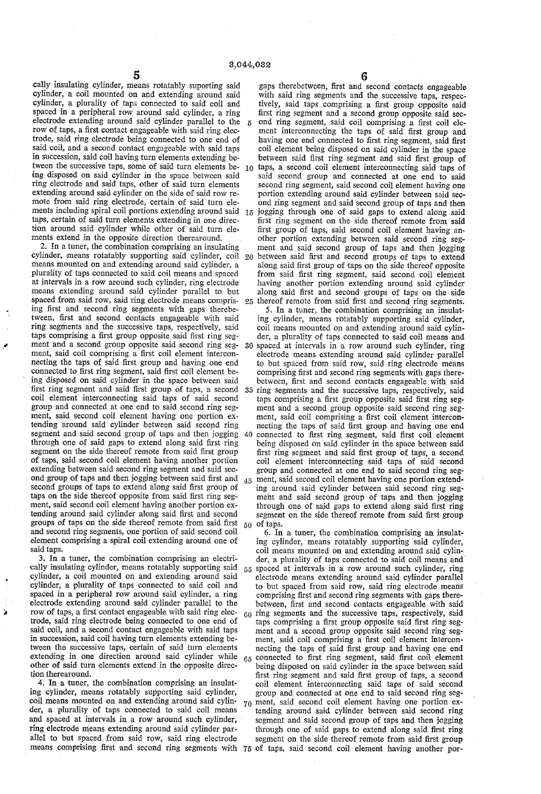3,044,032

5 cally insulating cylinder, means rotatably suporting said cylinder, a coil mounted on and extending around said cylinder, a plurality of taps connected to said coil and spaced in a peripheral row around said cylinder, a ring electrode extending around said cylinder parallel to the row of taps, a first contact engageable with said ring electrode, said ring electrode being connected to one end of said coil, and a second contact engageable with said taps in succession, said coil having turn elements extending be tween the successive taps, some of said turn elements be 10 ing disposed on said cylinder in the space between said ring electrode and said taps, other of said turn elements extending around said cylinder on the side of said row re mote from said ring electrode, certain of said turn ele ments including spiral coil portions extending around said  $15$ taps, certain of said turn elements extending in one direc tion around said cylinder while other of said turn ele

ments extend in the opposite direction therearound. 2. In a tuner, the combination comprising an insulating means mounted on and extending around said cylinder, a plurality of taps connected to said coil means and spaced means extending around said cylinder parallel to but spaced from said row, said ring electrode means compris ing first and second ring segments with gaps therebetween, first and second contacts engageable with said ring segments and the successive taps, respectively, said taps comprising a first group opposite said first ring segment and a second group opposite said second ring seg ment, said coil comprising a first coil element interconnecting the taps of said first group and having one end connected to first ring segment, said first coil element being disposed on said cylinder in the space between said first ring segment and said first group of taps, a second coil element interconnecting said taps of said second group and connected at one end to said second ring seg ment, said second coil element having one portion ex tending around said cylinder between said second ring segment and said second group of taps and then jogging through one of said gaps to extend along said first ring segment on the side thereof remote from said first group , of taps, said second coil element having another portion extending between said second ring segment and said sec ond group of taps and then jogging between said first and second groups of taps to extend along said first group of taps on the side thereof opposite from said first ring segment, said second coil element having another portion extending around said cylinder along said first and second groups of taps on the side thereof remote from said first and second ring segments, one portion of said second coil element comprising a spiral coil extending around one of said taps. 30

3. In a tuner, the combination comprising an electri cally insulating cylinder, means rotatably supporting said cylinder, a coil mounted on and extending around said cylinder, a plurality of taps connected to said coil and spaced in a peripheral row around said cylinder, a ring electrode extending around said cylinder parallel to the row of taps, a first contact engageable with said ring electrode, said ring electrode being connected to one end of said coil, and a second contact engageable with said taps in succession, said coil having turn elements extending be' tween the successive taps, certain of said turn elements extending in one direction around said cylinder while other of said turn elements extend in the opposite direc tion therearound.

Ď

4. In a tuner, the combination comprising an insulat ing cylinder, means rotatably supporting said cylinder, coil means mounted on and extending .around said cylin' der, a plurality of taps connected to said coil means and spaced at intervals in a row around such cylinder, ring electrode means extending around said cylinder par allel to but spaced from said row, said ring electrode means comprising first and second ring segments with 75 of taps, said second coil element having another por-

20 between said first and second groups of taps to extend 35 ring segments and the successive taps, respectively, said gaps therebetween, first and second contacts engageable with said ring segments and the successive taps, respec tively, said taps comprising a first group opposite said<br>first ring segment and a second group opposite said second ring segment, said coil comprising a first coil element interconnecting the taps of said first group and having one end connected to first ring segment, said first coil element being disposed on said cylinder in the space between said first ring segment and said first group of taps, a second coil element interconnecting said taps of said second group and connected at one end to said second ring segment, said second coil element having one portion extending around said cylinder between said second ring segment and said second group of taps and then jogging through one of said gaps to extend along said first ring segment on the side thereof remote from said first group of taps, said second coil element having another portion extending between said second ring segment and said second group of taps and then jogging along said first group of taps on the side thereof opposite from said first ring segment, said second coil element having another portion extending around said cylinder along said first and second groups of taps on the side 25 thereof remote from said first and second ring segments. 5. In a tuner, the combination comprising an insulat ing cylinder, means rotatably supporting said cylinder, coil means mounted on and extending around said cylin der, a plurality of taps connected to said coil means and spaced at intervals in a row around such cylinder, ring electrode means extending around said cylinder parallel<br>to but spaced from said row, said ring electrode means comprising first and second ring segments with gaps therebetween, first and second contacts engageable with said taps comprising a first group opposite said first ring seg-

40 connected to first ring segment, said first coil element ment and a second group opposite said second ring segment, said coil comprising a first coil element interconnecting the taps of said first group and having one end being disposed on said cylinder in the space between said first ring segment and said first group of taps, a second coil element interconnecting said taps of said second group and connected at one end to said second ring seg 45 ment, said second coil element having one portion extending around said cylinder between said second ring seg ment and said second group of 'taps and then jogging through one of said gaps to extend along said first ring segment on the side thereof remote from said first group 50 of taps.

55 60 ring segments and the successive taps, respectively, said 70 ment, said second coil element having one portion ex-6. In a tuner, the combination comprising an insulat ing cylinder, means rotatably supporting said cylinder, coil means mounted on and extending around said cylinder, a plurality of taps connected to said coil means and spaced at intervals in a row around such cylinder, ring electrode means extending around said cylinder parallel to but spaced from said row, said ring electrode means comprising first and second ring segments with gaps therebetween, first and second contacts engageable with said taps comprising a first group opposite said first ring segment and a second group opposite said second ring seg ment, said coil comprising a first coil element interconnecting the taps of said first group and having one end 65 connected to first ring segment, said first coil element being disposed on said cylinder in the space between said first ring segment and said first group of taps, a second coil element interconnecting said taps of said second group and connected at one end to said second ring seg tending around said cylinder between said second ring segment and said second group of taps and then jogging through one of said gaps to extend along said first ring segment on the side thereof remote from said first group

6